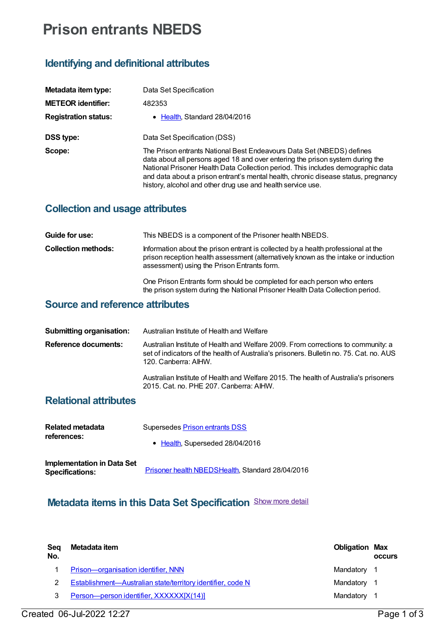# **Prison entrants NBEDS**

#### **Identifying and definitional attributes**

| Metadata item type:         | Data Set Specification                                                                                                                                                                                                                                                                                                                                                                         |
|-----------------------------|------------------------------------------------------------------------------------------------------------------------------------------------------------------------------------------------------------------------------------------------------------------------------------------------------------------------------------------------------------------------------------------------|
| <b>METEOR identifier:</b>   | 482353                                                                                                                                                                                                                                                                                                                                                                                         |
| <b>Registration status:</b> | • Health, Standard 28/04/2016                                                                                                                                                                                                                                                                                                                                                                  |
| <b>DSS type:</b>            | Data Set Specification (DSS)                                                                                                                                                                                                                                                                                                                                                                   |
| Scope:                      | The Prison entrants National Best Endeavours Data Set (NBEDS) defines<br>data about all persons aged 18 and over entering the prison system during the<br>National Prisoner Health Data Collection period. This includes demographic data<br>and data about a prison entrant's mental health, chronic disease status, pregnancy<br>history, alcohol and other drug use and health service use. |

## **Collection and usage attributes**

| Guide for use:             | This NBEDS is a component of the Prisoner health NBEDS.                                                                                                                                                                |
|----------------------------|------------------------------------------------------------------------------------------------------------------------------------------------------------------------------------------------------------------------|
| <b>Collection methods:</b> | Information about the prison entrant is collected by a health professional at the<br>prison reception health assessment (alternatively known as the intake or induction<br>assessment) using the Prison Entrants form. |
|                            | One Prison Entrants form should be completed for each person who enters<br>the prison system during the National Prisoner Health Data Collection period.                                                               |

### **Source and reference attributes**

| <b>Submitting organisation:</b> | Australian Institute of Health and Welfare                                                                                                                                                           |
|---------------------------------|------------------------------------------------------------------------------------------------------------------------------------------------------------------------------------------------------|
| <b>Reference documents:</b>     | Australian Institute of Health and Welfare 2009. From corrections to community: a<br>set of indicators of the health of Australia's prisoners. Bulletin no. 75. Cat. no. AUS<br>120. Canberra: AIHW. |
|                                 | Australian Institute of Health and Welfare 2015. The health of Australia's prisoners<br>2015. Cat. no. PHE 207. Canberra: AIHW.                                                                      |

#### **Relational attributes**

| Related metadata<br>references:                      | Supersedes Prison entrants DSS                   |
|------------------------------------------------------|--------------------------------------------------|
|                                                      | • Health, Superseded 28/04/2016                  |
| Implementation in Data Set<br><b>Specifications:</b> | Prisoner health NBEDSHealth, Standard 28/04/2016 |

## **Metadata items in this Data Set Specification** Show more detail

| Seg<br>No. | Metadata item                                               | <b>Obligation Max</b> | <b>OCCULS</b> |
|------------|-------------------------------------------------------------|-----------------------|---------------|
|            | Prison-organisation identifier, NNN                         | Mandatory 1           |               |
|            | Establishment-Australian state/territory identifier, code N | Mandatory 1           |               |
| 3          | Person-person identifier, XXXXXX[X(14)]                     | Mandatory 1           |               |
|            |                                                             |                       |               |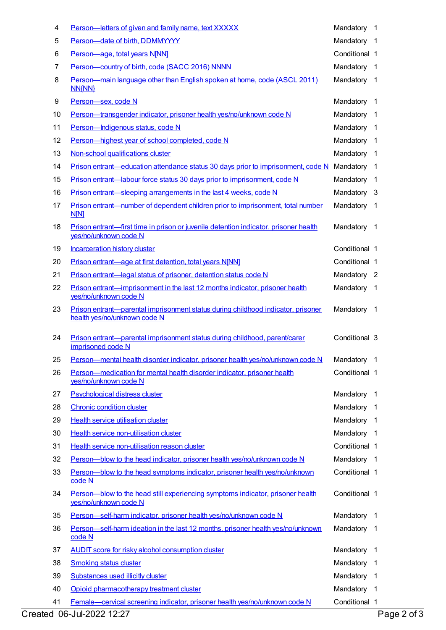| 4  | Person-letters of given and family name, text XXXXX                                                              | Mandatory     | -1                      |
|----|------------------------------------------------------------------------------------------------------------------|---------------|-------------------------|
| 5  | Person-date of birth, DDMMYYYY                                                                                   | Mandatory     | - 1                     |
| 6  | Person-age, total years N[NN]                                                                                    | Conditional 1 |                         |
| 7  | Person-country of birth, code (SACC 2016) NNNN                                                                   | Mandatory     | $\overline{1}$          |
| 8  | Person—main language other than English spoken at home, code (ASCL 2011)<br><b>NN{NN}</b>                        | Mandatory     | $\overline{1}$          |
| 9  | Person-sex, code N                                                                                               | Mandatory     | - 1                     |
| 10 | Person-transgender indicator, prisoner health yes/no/unknown code N                                              | Mandatory     | $\overline{1}$          |
| 11 | Person-Indigenous status, code N                                                                                 | Mandatory     | $\overline{1}$          |
| 12 | Person-highest year of school completed, code N                                                                  | Mandatory     | $\overline{1}$          |
| 13 | Non-school qualifications cluster                                                                                | Mandatory     | -1                      |
| 14 | Prison entrant—education attendance status 30 days prior to imprisonment, code N                                 | Mandatory     | -1                      |
| 15 | Prison entrant—labour force status 30 days prior to imprisonment, code N                                         | Mandatory     | -1                      |
| 16 | Prison entrant—sleeping arrangements in the last 4 weeks, code N                                                 | Mandatory     | $\mathbf{3}$            |
| 17 | Prison entrant-number of dependent children prior to imprisonment, total number<br><b>N[N]</b>                   | Mandatory     | $\overline{1}$          |
| 18 | Prison entrant—first time in prison or juvenile detention indicator, prisoner health<br>yes/no/unknown code N    | Mandatory     | $\overline{1}$          |
| 19 | <b>Incarceration history cluster</b>                                                                             | Conditional 1 |                         |
| 20 | Prison entrant—age at first detention, total years N[NN]                                                         | Conditional 1 |                         |
| 21 | Prison entrant—legal status of prisoner, detention status code N                                                 | Mandatory 2   |                         |
| 22 | Prison entrant—imprisonment in the last 12 months indicator, prisoner health<br>yes/no/unknown code N            | Mandatory     | $\overline{1}$          |
| 23 | Prison entrant—parental imprisonment status during childhood indicator, prisoner<br>health yes/no/unknown code N | Mandatory     | - 1                     |
| 24 | Prison entrant—parental imprisonment status during childhood, parent/carer<br>imprisoned code N                  | Conditional 3 |                         |
| 25 | Person-mental health disorder indicator, prisoner health yes/no/unknown code N                                   | Mandatory     | $\overline{1}$          |
| 26 | Person-medication for mental health disorder indicator, prisoner health<br>yes/no/unknown code N                 | Conditional 1 |                         |
| 27 | <b>Psychological distress cluster</b>                                                                            | Mandatory     | $\overline{1}$          |
| 28 | <b>Chronic condition cluster</b>                                                                                 | Mandatory     | - 1                     |
| 29 | <b>Health service utilisation cluster</b>                                                                        | Mandatory     | $\overline{1}$          |
| 30 | Health service non-utilisation cluster                                                                           | Mandatory 1   |                         |
| 31 | Health service non-utilisation reason cluster                                                                    | Conditional 1 |                         |
| 32 | Person-blow to the head indicator, prisoner health yes/no/unknown code N                                         | Mandatory     | $\overline{1}$          |
| 33 | Person-blow to the head symptoms indicator, prisoner health yes/no/unknown<br>code N                             | Conditional 1 |                         |
| 34 | Person-blow to the head still experiencing symptoms indicator, prisoner health<br>yes/no/unknown code N          | Conditional 1 |                         |
| 35 | Person-self-harm indicator, prisoner health yes/no/unknown code N                                                | Mandatory     | - 1                     |
| 36 | Person-self-harm ideation in the last 12 months, prisoner health yes/no/unknown<br>code N                        | Mandatory     | $\overline{1}$          |
| 37 | <b>AUDIT score for risky alcohol consumption cluster</b>                                                         | Mandatory     | $\overline{1}$          |
| 38 | <b>Smoking status cluster</b>                                                                                    | Mandatory     | $\overline{1}$          |
| 39 | <b>Substances used illicitly cluster</b>                                                                         | Mandatory     | $\overline{\mathbf{1}}$ |
| 40 | Opioid pharmacotherapy treatment cluster                                                                         | Mandatory     | -1                      |
| 41 | Female—cervical screening indicator, prisoner health yes/no/unknown code N                                       | Conditional 1 |                         |